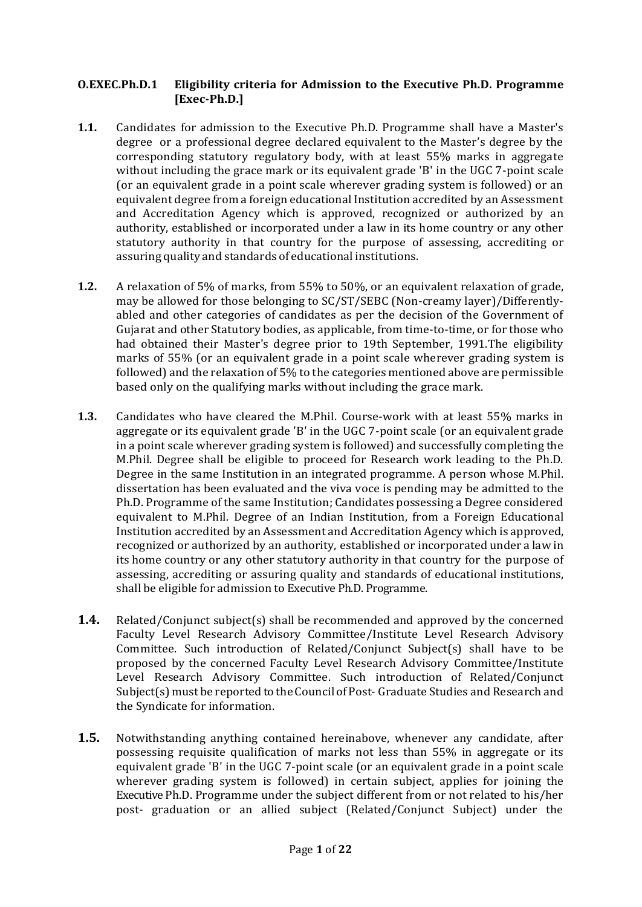### **O.EXEC.Ph.D.1 Eligibility criteria for Admission to the Executive Ph.D. Programme [Exec-Ph.D.]**

- **1.1.** Candidates for admission to the Executive Ph.D. Programme shall have a Master's degree or a professional degree declared equivalent to the Master's degree by the corresponding statutory regulatory body, with at least 55% marks in aggregate without including the grace mark or its equivalent grade 'B' in the UGC 7-point scale (or an equivalent grade in a point scale wherever grading system is followed) or an equivalent degree from a foreign educational Institution accredited by an Assessment and Accreditation Agency which is approved, recognized or authorized by an authority, established or incorporated under a law in its home country or any other statutory authority in that country for the purpose of assessing, accrediting or assuring quality and standards of educational institutions.
- **1.2.** A relaxation of 5% of marks, from 55% to 50%, or an equivalent relaxation of grade, may be allowed for those belonging to SC/ST/SEBC (Non-creamy layer)/Differentlyabled and other categories of candidates as per the decision of the Government of Gujarat and other Statutory bodies, as applicable, from time-to-time, or for those who had obtained their Master's degree prior to 19th September, 1991.The eligibility marks of 55% (or an equivalent grade in a point scale wherever grading system is followed) and the relaxation of 5% to the categories mentioned above are permissible based only on the qualifying marks without including the grace mark.
- **1.3.** Candidates who have cleared the M.Phil. Course-work with at least 55% marks in aggregate or its equivalent grade 'B' in the UGC 7-point scale (or an equivalent grade in a point scale wherever grading system is followed) and successfully completing the M.Phil. Degree shall be eligible to proceed for Research work leading to the Ph.D. Degree in the same Institution in an integrated programme. A person whose M.Phil. dissertation has been evaluated and the viva voce is pending may be admitted to the Ph.D. Programme of the same Institution; Candidates possessing a Degree considered equivalent to M.Phil. Degree of an Indian Institution, from a Foreign Educational Institution accredited by an Assessment and Accreditation Agency which is approved, recognized or authorized by an authority, established or incorporated under a law in its home country or any other statutory authority in that country for the purpose of assessing, accrediting or assuring quality and standards of educational institutions, shall be eligible for admission to Executive Ph.D. Programme.
- **1.4.** Related/Conjunct subject(s) shall be recommended and approved by the concerned Faculty Level Research Advisory Committee/Institute Level Research Advisory Committee. Such introduction of Related/Conjunct Subject(s) shall have to be proposed by the concerned Faculty Level Research Advisory Committee/Institute Level Research Advisory Committee. Such introduction of Related/Conjunct Subject(s) must be reported to the Council of Post- Graduate Studies and Research and the Syndicate for information.
- **1.5.** Notwithstanding anything contained hereinabove, whenever any candidate, after possessing requisite qualification of marks not less than 55% in aggregate or its equivalent grade 'B' in the UGC 7-point scale (or an equivalent grade in a point scale wherever grading system is followed) in certain subject, applies for joining the Executive Ph.D. Programme under the subject different from or not related to his/her post- graduation or an allied subject (Related/Conjunct Subject) under the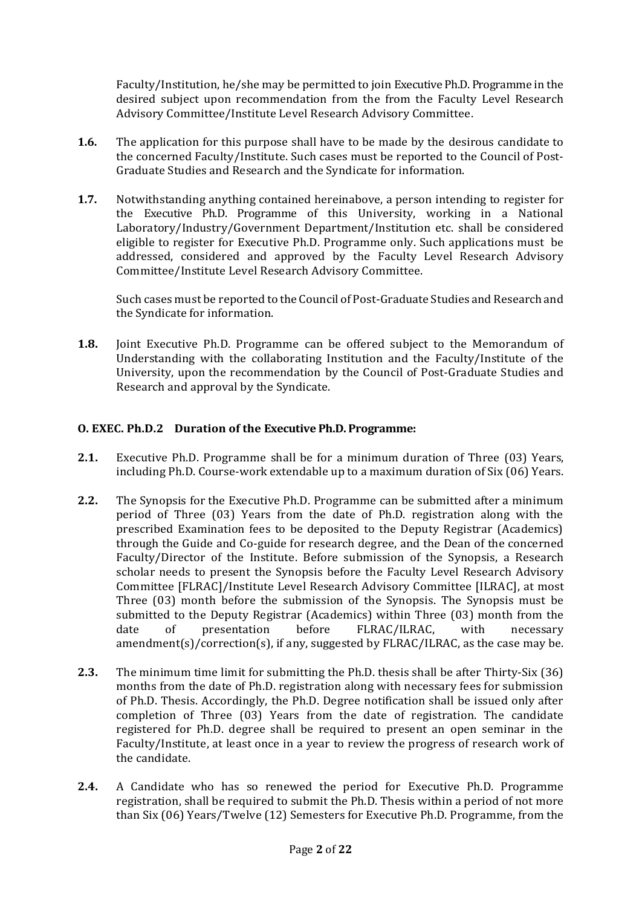Faculty/Institution, he/she may be permitted to join Executive Ph.D. Programme in the desired subject upon recommendation from the from the Faculty Level Research Advisory Committee/Institute Level Research Advisory Committee.

- **1.6.** The application for this purpose shall have to be made by the desirous candidate to the concerned Faculty/Institute. Such cases must be reported to the Council of Post-Graduate Studies and Research and the Syndicate for information.
- **1.7.** Notwithstanding anything contained hereinabove, a person intending to register for the Executive Ph.D. Programme of this University, working in a National Laboratory/Industry/Government Department/Institution etc. shall be considered eligible to register for Executive Ph.D. Programme only. Such applications must be addressed, considered and approved by the Faculty Level Research Advisory Committee/Institute Level Research Advisory Committee.

Such cases must be reported to the Council of Post-Graduate Studies and Research and the Syndicate for information.

**1.8.** Joint Executive Ph.D. Programme can be offered subject to the Memorandum of Understanding with the collaborating Institution and the Faculty/Institute of the University, upon the recommendation by the Council of Post-Graduate Studies and Research and approval by the Syndicate.

### **O. EXEC. Ph.D.2 Duration of the Executive Ph.D. Programme:**

- **2.1.** Executive Ph.D. Programme shall be for a minimum duration of Three (03) Years, including Ph.D. Course-work extendable up to a maximum duration of Six (06) Years.
- **2.2.** The Synopsis for the Executive Ph.D. Programme can be submitted after a minimum period of Three (03) Years from the date of Ph.D. registration along with the prescribed Examination fees to be deposited to the Deputy Registrar (Academics) through the Guide and Co-guide for research degree, and the Dean of the concerned Faculty/Director of the Institute. Before submission of the Synopsis, a Research scholar needs to present the Synopsis before the Faculty Level Research Advisory Committee [FLRAC]/Institute Level Research Advisory Committee [ILRAC], at most Three (03) month before the submission of the Synopsis. The Synopsis must be submitted to the Deputy Registrar (Academics) within Three (03) month from the date of presentation before FLRAC/ILRAC, with necessary amendment(s)/correction(s), if any, suggested by FLRAC/ILRAC, as the case may be.
- **2.3.** The minimum time limit for submitting the Ph.D. thesis shall be after Thirty-Six (36) months from the date of Ph.D. registration along with necessary fees for submission of Ph.D. Thesis. Accordingly, the Ph.D. Degree notification shall be issued only after completion of Three (03) Years from the date of registration. The candidate registered for Ph.D. degree shall be required to present an open seminar in the Faculty/Institute, at least once in a year to review the progress of research work of the candidate.
- **2.4.** A Candidate who has so renewed the period for Executive Ph.D. Programme registration, shall be required to submit the Ph.D. Thesis within a period of not more than Six (06) Years/Twelve (12) Semesters for Executive Ph.D. Programme, from the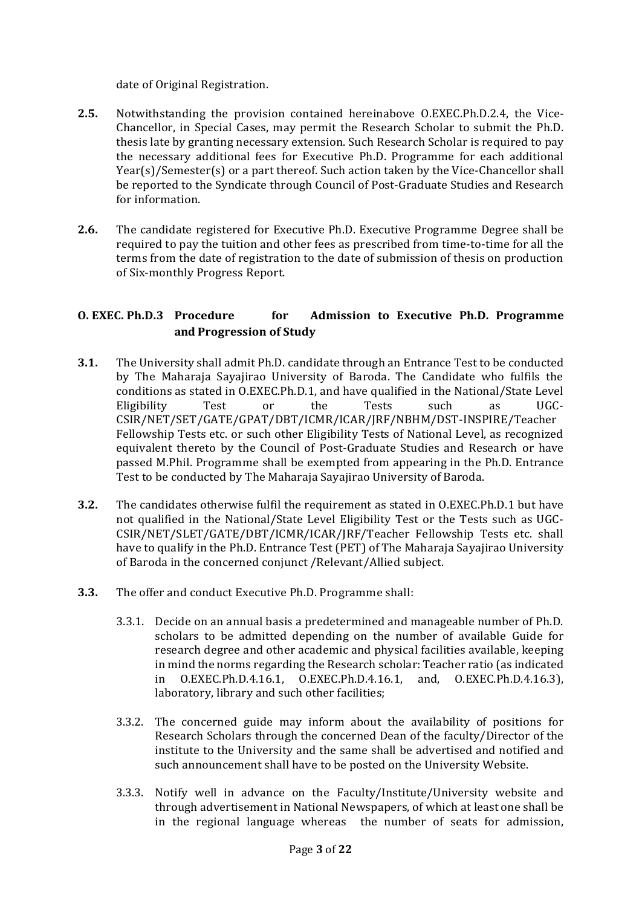date of Original Registration.

- **2.5.** Notwithstanding the provision contained hereinabove O.EXEC.Ph.D.2.4, the Vice-Chancellor, in Special Cases, may permit the Research Scholar to submit the Ph.D. thesis late by granting necessary extension. Such Research Scholar is required to pay the necessary additional fees for Executive Ph.D. Programme for each additional Year(s)/Semester(s) or a part thereof. Such action taken by the Vice-Chancellor shall be reported to the Syndicate through Council of Post-Graduate Studies and Research for information.
- **2.6.** The candidate registered for Executive Ph.D. Executive Programme Degree shall be required to pay the tuition and other fees as prescribed from time-to-time for all the terms from the date of registration to the date of submission of thesis on production of Six-monthly Progress Report.

## **O. EXEC. Ph.D.3 Procedure for Admission to Executive Ph.D. Programme and Progression of Study**

- **3.1.** The University shall admit Ph.D. candidate through an Entrance Test to be conducted by The Maharaja Sayajirao University of Baroda. The Candidate who fulfils the conditions as stated in O.EXEC.Ph.D.1, and have qualified in the National/State Level Eligibility Test or the Tests such as UGC-CSIR/NET/SET/GATE/GPAT/DBT/ICMR/ICAR/JRF/NBHM/DST-INSPIRE/Teacher Fellowship Tests etc. or such other Eligibility Tests of National Level, as recognized equivalent thereto by the Council of Post-Graduate Studies and Research or have passed M.Phil. Programme shall be exempted from appearing in the Ph.D. Entrance Test to be conducted by The Maharaja Sayajirao University of Baroda.
- **3.2.** The candidates otherwise fulfil the requirement as stated in O.EXEC.Ph.D.1 but have not qualified in the National/State Level Eligibility Test or the Tests such as UGC-CSIR/NET/SLET/GATE/DBT/ICMR/ICAR/JRF/Teacher Fellowship Tests etc. shall have to qualify in the Ph.D. Entrance Test (PET) of The Maharaja Sayajirao University of Baroda in the concerned conjunct /Relevant/Allied subject.
- **3.3.** The offer and conduct Executive Ph.D. Programme shall:
	- 3.3.1. Decide on an annual basis a predetermined and manageable number of Ph.D. scholars to be admitted depending on the number of available Guide for research degree and other academic and physical facilities available, keeping in mind the norms regarding the Research scholar: Teacher ratio (as indicated in O.EXEC.Ph.D.4.16.1, O.EXEC.Ph.D.4.16.1, and, O.EXEC.Ph.D.4.16.3), laboratory, library and such other facilities;
	- 3.3.2. The concerned guide may inform about the availability of positions for Research Scholars through the concerned Dean of the faculty/Director of the institute to the University and the same shall be advertised and notified and such announcement shall have to be posted on the University Website.
	- 3.3.3. Notify well in advance on the Faculty/Institute/University website and through advertisement in National Newspapers, of which at least one shall be in the regional language whereas the number of seats for admission,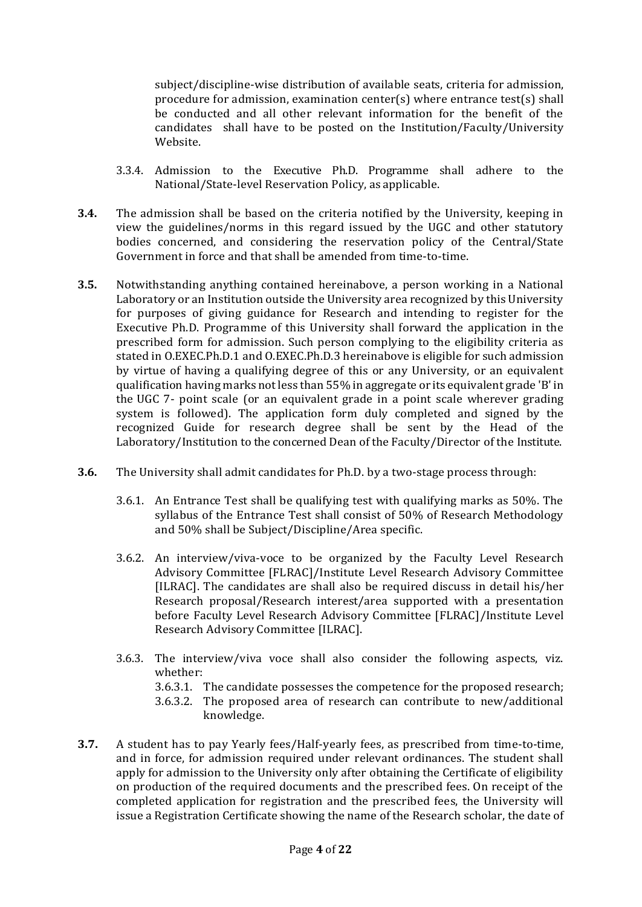subject/discipline-wise distribution of available seats, criteria for admission, procedure for admission, examination center(s) where entrance test(s) shall be conducted and all other relevant information for the benefit of the candidates shall have to be posted on the Institution/Faculty/University Website.

- 3.3.4. Admission to the Executive Ph.D. Programme shall adhere to the National/State-level Reservation Policy, as applicable.
- **3.4.** The admission shall be based on the criteria notified by the University, keeping in view the guidelines/norms in this regard issued by the UGC and other statutory bodies concerned, and considering the reservation policy of the Central/State Government in force and that shall be amended from time-to-time.
- **3.5.** Notwithstanding anything contained hereinabove, a person working in a National Laboratory or an Institution outside the University area recognized by this University for purposes of giving guidance for Research and intending to register for the Executive Ph.D. Programme of this University shall forward the application in the prescribed form for admission. Such person complying to the eligibility criteria as stated in O.EXEC.Ph.D.1 and O.EXEC.Ph.D.3 hereinabove is eligible for such admission by virtue of having a qualifying degree of this or any University, or an equivalent qualification having marks notless than 55% in aggregate or its equivalent grade 'B' in the UGC 7- point scale (or an equivalent grade in a point scale wherever grading system is followed). The application form duly completed and signed by the recognized Guide for research degree shall be sent by the Head of the Laboratory/Institution to the concerned Dean of the Faculty/Director of the Institute.
- **3.6.** The University shall admit candidates for Ph.D. by a two-stage process through:
	- 3.6.1. An Entrance Test shall be qualifying test with qualifying marks as 50%. The syllabus of the Entrance Test shall consist of 50% of Research Methodology and 50% shall be Subject/Discipline/Area specific.
	- 3.6.2. An interview/viva-voce to be organized by the Faculty Level Research Advisory Committee [FLRAC]/Institute Level Research Advisory Committee [ILRAC]. The candidates are shall also be required discuss in detail his/her Research proposal/Research interest/area supported with a presentation before Faculty Level Research Advisory Committee [FLRAC]/Institute Level Research Advisory Committee [ILRAC].
	- 3.6.3. The interview/viva voce shall also consider the following aspects, viz. whether:
		- 3.6.3.1. The candidate possesses the competence for the proposed research;
		- 3.6.3.2. The proposed area of research can contribute to new/additional knowledge.
- **3.7.** A student has to pay Yearly fees/Half-yearly fees, as prescribed from time-to-time, and in force, for admission required under relevant ordinances. The student shall apply for admission to the University only after obtaining the Certificate of eligibility on production of the required documents and the prescribed fees. On receipt of the completed application for registration and the prescribed fees, the University will issue a Registration Certificate showing the name of the Research scholar, the date of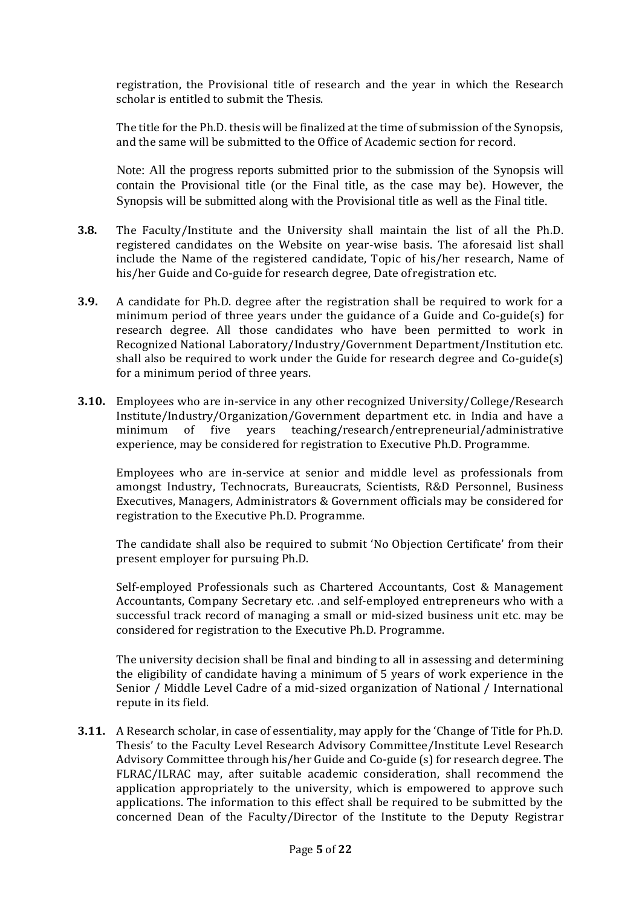registration, the Provisional title of research and the year in which the Research scholar is entitled to submit the Thesis.

The title for the Ph.D. thesis will be finalized at the time of submission of the Synopsis, and the same will be submitted to the Office of Academic section for record.

Note: All the progress reports submitted prior to the submission of the Synopsis will contain the Provisional title (or the Final title, as the case may be). However, the Synopsis will be submitted along with the Provisional title as well as the Final title.

- **3.8.** The Faculty/Institute and the University shall maintain the list of all the Ph.D. registered candidates on the Website on year-wise basis. The aforesaid list shall include the Name of the registered candidate, Topic of his/her research, Name of his/her Guide and Co-guide for research degree, Date ofregistration etc.
- **3.9.** A candidate for Ph.D. degree after the registration shall be required to work for a minimum period of three years under the guidance of a Guide and Co-guide(s) for research degree. All those candidates who have been permitted to work in Recognized National Laboratory/Industry/Government Department/Institution etc. shall also be required to work under the Guide for research degree and Co-guide(s) for a minimum period of three years.
- **3.10.** Employees who are in-service in any other recognized University/College/Research Institute/Industry/Organization/Government department etc. in India and have a minimum of five years teaching/research/entrepreneurial/administrative experience, may be considered for registration to Executive Ph.D. Programme.

Employees who are in-service at senior and middle level as professionals from amongst Industry, Technocrats, Bureaucrats, Scientists, R&D Personnel, Business Executives, Managers, Administrators & Government officials may be considered for registration to the Executive Ph.D. Programme.

The candidate shall also be required to submit 'No Objection Certificate' from their present employer for pursuing Ph.D.

Self-employed Professionals such as Chartered Accountants, Cost & Management Accountants, Company Secretary etc. .and self-employed entrepreneurs who with a successful track record of managing a small or mid-sized business unit etc. may be considered for registration to the Executive Ph.D. Programme.

The university decision shall be final and binding to all in assessing and determining the eligibility of candidate having a minimum of 5 years of work experience in the Senior / Middle Level Cadre of a mid-sized organization of National / International repute in its field.

**3.11.** A Research scholar, in case of essentiality, may apply for the 'Change of Title for Ph.D. Thesis' to the Faculty Level Research Advisory Committee/Institute Level Research Advisory Committee through his/her Guide and Co-guide (s) for research degree. The FLRAC/ILRAC may, after suitable academic consideration, shall recommend the application appropriately to the university, which is empowered to approve such applications. The information to this effect shall be required to be submitted by the concerned Dean of the Faculty/Director of the Institute to the Deputy Registrar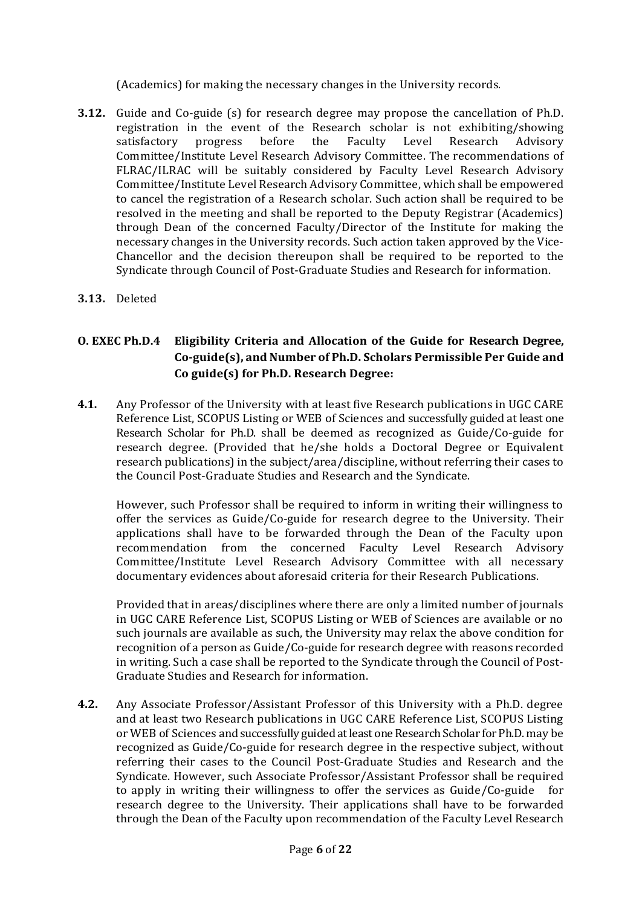(Academics) for making the necessary changes in the University records.

- **3.12.** Guide and Co-guide (s) for research degree may propose the cancellation of Ph.D. registration in the event of the Research scholar is not exhibiting/showing satisfactory progress before the Faculty Level Research Advisory Committee/Institute Level Research Advisory Committee. The recommendations of FLRAC/ILRAC will be suitably considered by Faculty Level Research Advisory Committee/Institute Level Research Advisory Committee, which shall be empowered to cancel the registration of a Research scholar. Such action shall be required to be resolved in the meeting and shall be reported to the Deputy Registrar (Academics) through Dean of the concerned Faculty/Director of the Institute for making the necessary changes in the University records. Such action taken approved by the Vice-Chancellor and the decision thereupon shall be required to be reported to the Syndicate through Council of Post-Graduate Studies and Research for information.
- **3.13.** Deleted

# **O. EXEC Ph.D.4 Eligibility Criteria and Allocation of the Guide for Research Degree, Co-guide(s), and Number of Ph.D. Scholars Permissible Per Guide and Co guide(s) for Ph.D. Research Degree:**

**4.1.** Any Professor of the University with at least five Research publications in UGC CARE Reference List, SCOPUS Listing or WEB of Sciences and successfully guided at least one Research Scholar for Ph.D. shall be deemed as recognized as Guide/Co-guide for research degree. (Provided that he/she holds a Doctoral Degree or Equivalent research publications) in the subject/area/discipline, without referring their cases to the Council Post-Graduate Studies and Research and the Syndicate.

However, such Professor shall be required to inform in writing their willingness to offer the services as Guide/Co-guide for research degree to the University. Their applications shall have to be forwarded through the Dean of the Faculty upon recommendation from the concerned Faculty Level Research Advisory Committee/Institute Level Research Advisory Committee with all necessary documentary evidences about aforesaid criteria for their Research Publications.

Provided that in areas/disciplines where there are only a limited number of journals in UGC CARE Reference List, SCOPUS Listing or WEB of Sciences are available or no such journals are available as such, the University may relax the above condition for recognition of a person as Guide/Co-guide for research degree with reasons recorded in writing. Such a case shall be reported to the Syndicate through the Council of Post-Graduate Studies and Research for information.

**4.2.** Any Associate Professor/Assistant Professor of this University with a Ph.D. degree and at least two Research publications in UGC CARE Reference List, SCOPUS Listing or WEB of Sciences and successfully guided at least one Research Scholar for Ph.D. may be recognized as Guide/Co-guide for research degree in the respective subject, without referring their cases to the Council Post-Graduate Studies and Research and the Syndicate. However, such Associate Professor/Assistant Professor shall be required to apply in writing their willingness to offer the services as Guide/Co-guide for research degree to the University. Their applications shall have to be forwarded through the Dean of the Faculty upon recommendation of the Faculty Level Research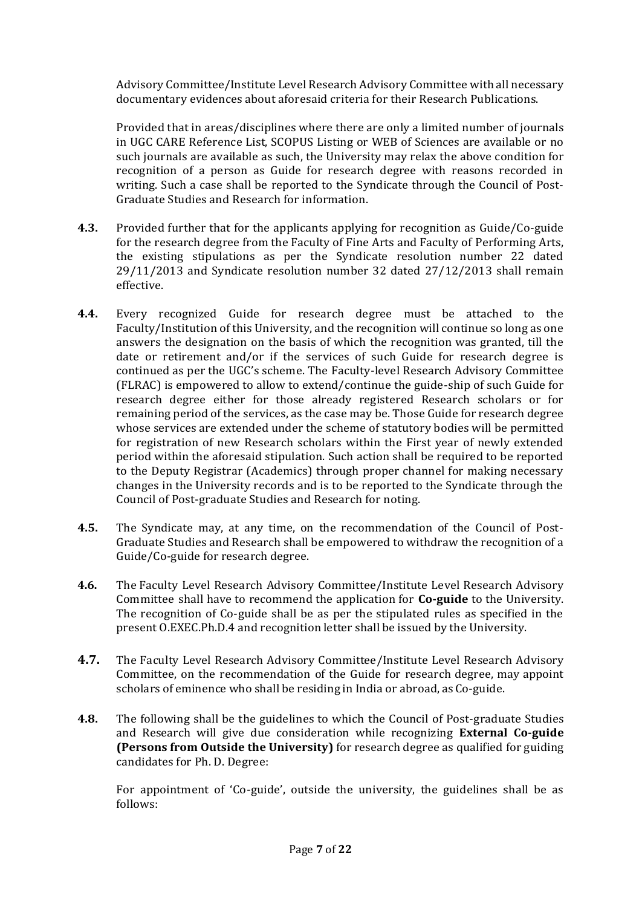Advisory Committee/Institute Level Research Advisory Committee with all necessary documentary evidences about aforesaid criteria for their Research Publications.

Provided that in areas/disciplines where there are only a limited number of journals in UGC CARE Reference List, SCOPUS Listing or WEB of Sciences are available or no such journals are available as such, the University may relax the above condition for recognition of a person as Guide for research degree with reasons recorded in writing. Such a case shall be reported to the Syndicate through the Council of Post-Graduate Studies and Research for information.

- **4.3.** Provided further that for the applicants applying for recognition as Guide/Co-guide for the research degree from the Faculty of Fine Arts and Faculty of Performing Arts, the existing stipulations as per the Syndicate resolution number 22 dated 29/11/2013 and Syndicate resolution number 32 dated 27/12/2013 shall remain effective.
- **4.4.** Every recognized Guide for research degree must be attached to the Faculty/Institution of this University, and the recognition will continue so long as one answers the designation on the basis of which the recognition was granted, till the date or retirement and/or if the services of such Guide for research degree is continued as per the UGC's scheme. The Faculty-level Research Advisory Committee (FLRAC) is empowered to allow to extend/continue the guide-ship of such Guide for research degree either for those already registered Research scholars or for remaining period of the services, as the case may be. Those Guide for research degree whose services are extended under the scheme of statutory bodies will be permitted for registration of new Research scholars within the First year of newly extended period within the aforesaid stipulation. Such action shall be required to be reported to the Deputy Registrar (Academics) through proper channel for making necessary changes in the University records and is to be reported to the Syndicate through the Council of Post-graduate Studies and Research for noting.
- **4.5.** The Syndicate may, at any time, on the recommendation of the Council of Post-Graduate Studies and Research shall be empowered to withdraw the recognition of a Guide/Co-guide for research degree.
- **4.6.** The Faculty Level Research Advisory Committee/Institute Level Research Advisory Committee shall have to recommend the application for **Co-guide** to the University. The recognition of Co-guide shall be as per the stipulated rules as specified in the present O.EXEC.Ph.D.4 and recognition letter shall be issued by the University.
- **4.7.** The Faculty Level Research Advisory Committee/Institute Level Research Advisory Committee, on the recommendation of the Guide for research degree, may appoint scholars of eminence who shall be residing in India or abroad, as Co-guide.
- **4.8.** The following shall be the guidelines to which the Council of Post-graduate Studies and Research will give due consideration while recognizing **External Co-guide (Persons from Outside the University)** for research degree as qualified for guiding candidates for Ph. D. Degree:

For appointment of 'Co-guide', outside the university, the guidelines shall be as follows: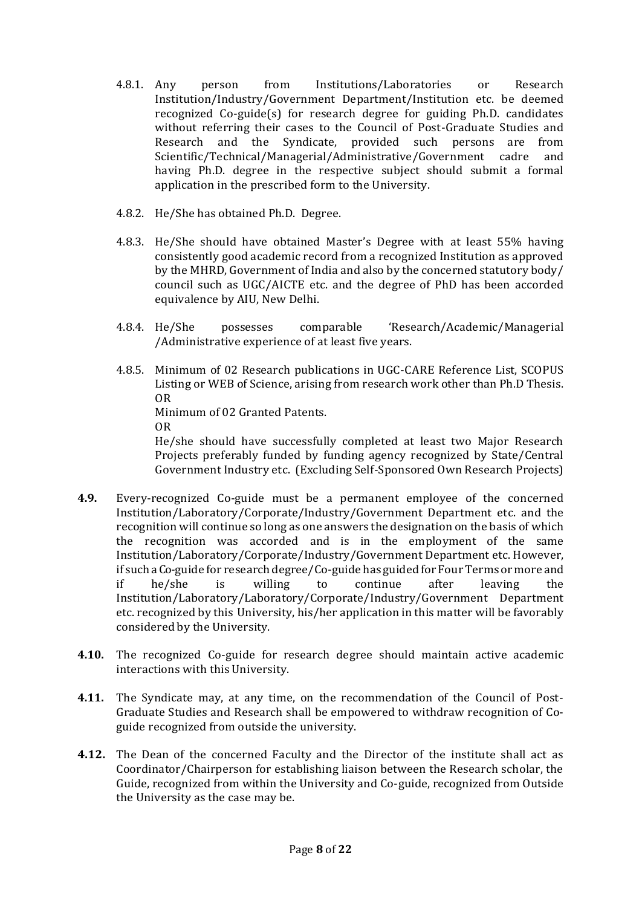- 4.8.1. Any person from Institutions/Laboratories or Research Institution/Industry/Government Department/Institution etc. be deemed recognized Co-guide(s) for research degree for guiding Ph.D. candidates without referring their cases to the Council of Post-Graduate Studies and Research and the Syndicate, provided such persons are from Scientific/Technical/Managerial/Administrative/Government cadre and having Ph.D. degree in the respective subject should submit a formal application in the prescribed form to the University.
- 4.8.2. He/She has obtained Ph.D. Degree.
- 4.8.3. He/She should have obtained Master's Degree with at least 55% having consistently good academic record from a recognized Institution as approved by the MHRD, Government of India and also by the concerned statutory body/ council such as UGC/AICTE etc. and the degree of PhD has been accorded equivalence by AIU, New Delhi.
- 4.8.4. He/She possesses comparable 'Research/Academic/Managerial /Administrative experience of at least five years.
- 4.8.5. Minimum of 02 Research publications in UGC-CARE Reference List, SCOPUS Listing or WEB of Science, arising from research work other than Ph.D Thesis. OR Minimum of 02 Granted Patents. OR He/she should have successfully completed at least two Major Research Projects preferably funded by funding agency recognized by State/Central Government Industry etc. (Excluding Self-Sponsored Own Research Projects)
- **4.9.** Every-recognized Co-guide must be a permanent employee of the concerned Institution/Laboratory/Corporate/Industry/Government Department etc. and the recognition will continue so long as one answers the designation on the basis of which the recognition was accorded and is in the employment of the same Institution/Laboratory/Corporate/Industry/Government Department etc. However, if such a Co-guide for research degree/Co-guide has guided for Four Terms or more and if he/she is willing to continue after leaving the Institution/Laboratory/Laboratory/Corporate/Industry/Government Department etc. recognized by this University, his/her application in this matter will be favorably considered by the University.
- **4.10.** The recognized Co-guide for research degree should maintain active academic interactions with this University.
- **4.11.** The Syndicate may, at any time, on the recommendation of the Council of Post-Graduate Studies and Research shall be empowered to withdraw recognition of Coguide recognized from outside the university.
- **4.12.** The Dean of the concerned Faculty and the Director of the institute shall act as Coordinator/Chairperson for establishing liaison between the Research scholar, the Guide, recognized from within the University and Co-guide, recognized from Outside the University as the case may be.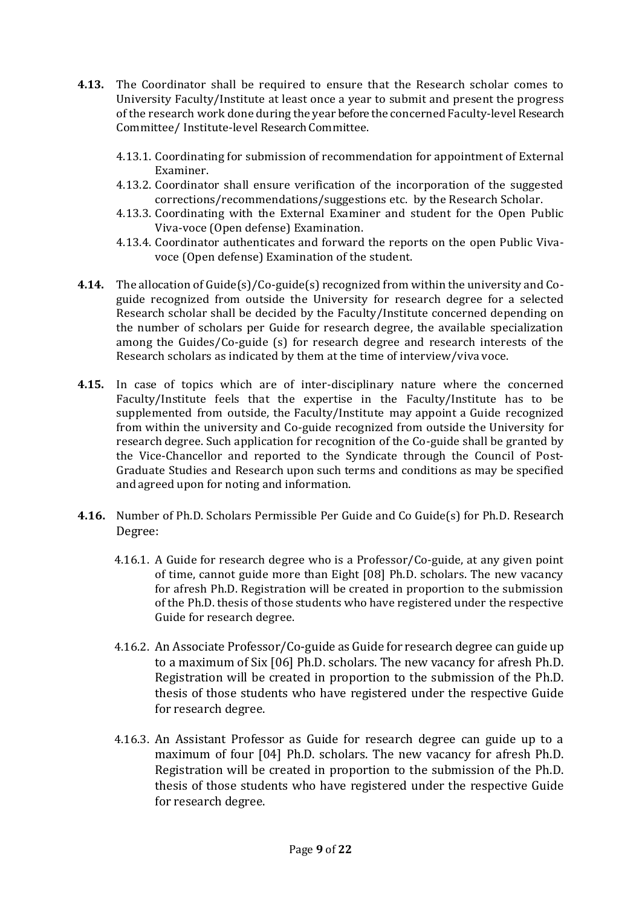- **4.13.** The Coordinator shall be required to ensure that the Research scholar comes to University Faculty/Institute at least once a year to submit and present the progress of the research work done during the year before the concerned Faculty-level Research Committee/ Institute-level Research Committee.
	- 4.13.1. Coordinating for submission of recommendation for appointment of External Examiner.
	- 4.13.2. Coordinator shall ensure verification of the incorporation of the suggested corrections/recommendations/suggestions etc. by the Research Scholar.
	- 4.13.3. Coordinating with the External Examiner and student for the Open Public Viva-voce (Open defense) Examination.
	- 4.13.4. Coordinator authenticates and forward the reports on the open Public Vivavoce (Open defense) Examination of the student.
- **4.14.** The allocation of Guide(s)/Co-guide(s) recognized from within the university and Coguide recognized from outside the University for research degree for a selected Research scholar shall be decided by the Faculty/Institute concerned depending on the number of scholars per Guide for research degree, the available specialization among the Guides/Co-guide (s) for research degree and research interests of the Research scholars as indicated by them at the time of interview/viva voce.
- **4.15.** In case of topics which are of inter-disciplinary nature where the concerned Faculty/Institute feels that the expertise in the Faculty/Institute has to be supplemented from outside, the Faculty/Institute may appoint a Guide recognized from within the university and Co-guide recognized from outside the University for research degree. Such application for recognition of the Co-guide shall be granted by the Vice-Chancellor and reported to the Syndicate through the Council of Post-Graduate Studies and Research upon such terms and conditions as may be specified and agreed upon for noting and information.
- **4.16.** Number of Ph.D. Scholars Permissible Per Guide and Co Guide(s) for Ph.D. Research Degree:
	- 4.16.1. A Guide for research degree who is a Professor/Co-guide, at any given point of time, cannot guide more than Eight [08] Ph.D. scholars. The new vacancy for afresh Ph.D. Registration will be created in proportion to the submission of the Ph.D. thesis of those students who have registered under the respective Guide for research degree.
	- 4.16.2. An Associate Professor/Co-guide as Guide for research degree can guide up to a maximum of Six [06] Ph.D. scholars. The new vacancy for afresh Ph.D. Registration will be created in proportion to the submission of the Ph.D. thesis of those students who have registered under the respective Guide for research degree.
	- 4.16.3. An Assistant Professor as Guide for research degree can guide up to a maximum of four [04] Ph.D. scholars. The new vacancy for afresh Ph.D. Registration will be created in proportion to the submission of the Ph.D. thesis of those students who have registered under the respective Guide for research degree.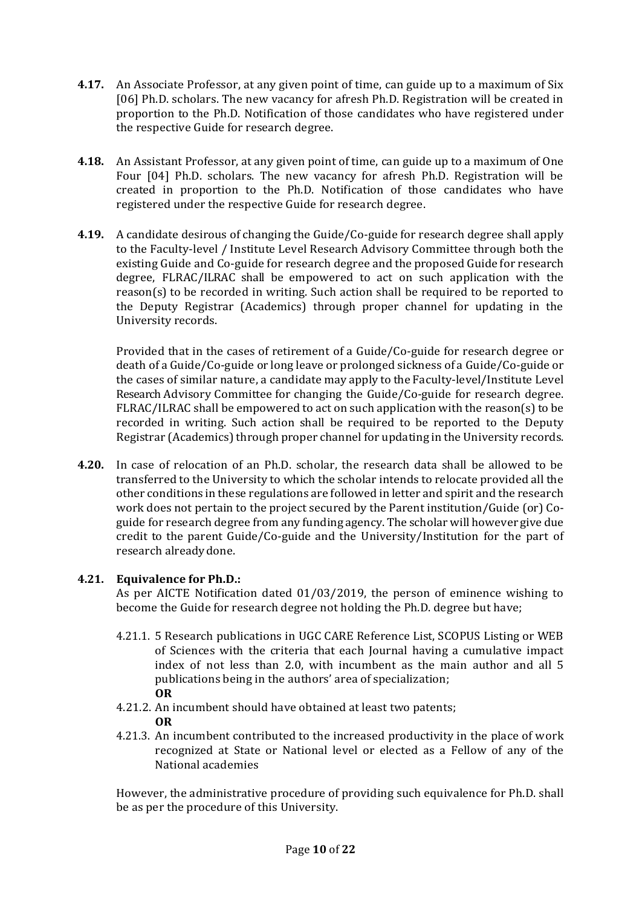- **4.17.** An Associate Professor, at any given point of time, can guide up to a maximum of Six [06] Ph.D. scholars. The new vacancy for afresh Ph.D. Registration will be created in proportion to the Ph.D. Notification of those candidates who have registered under the respective Guide for research degree.
- **4.18.** An Assistant Professor, at any given point of time, can guide up to a maximum of One Four [04] Ph.D. scholars. The new vacancy for afresh Ph.D. Registration will be created in proportion to the Ph.D. Notification of those candidates who have registered under the respective Guide for research degree.
- **4.19.** A candidate desirous of changing the Guide/Co-guide for research degree shall apply to the Faculty-level / Institute Level Research Advisory Committee through both the existing Guide and Co-guide for research degree and the proposed Guide for research degree, FLRAC/ILRAC shall be empowered to act on such application with the reason(s) to be recorded in writing. Such action shall be required to be reported to the Deputy Registrar (Academics) through proper channel for updating in the University records.

Provided that in the cases of retirement of a Guide/Co-guide for research degree or death of a Guide/Co-guide or long leave or prolonged sickness of a Guide/Co-guide or the cases of similar nature, a candidate may apply to the Faculty-level/Institute Level Research Advisory Committee for changing the Guide/Co-guide for research degree. FLRAC/ILRAC shall be empowered to act on such application with the reason(s) to be recorded in writing. Such action shall be required to be reported to the Deputy Registrar (Academics) through proper channel for updating in the University records.

**4.20.** In case of relocation of an Ph.D. scholar, the research data shall be allowed to be transferred to the University to which the scholar intends to relocate provided all the other conditions in these regulations are followed in letter and spirit and the research work does not pertain to the project secured by the Parent institution/Guide (or) Coguide for research degree from any funding agency. The scholar will however give due credit to the parent Guide/Co-guide and the University/Institution for the part of research alreadydone.

## **4.21. Equivalence for Ph.D.:**

As per AICTE Notification dated 01/03/2019, the person of eminence wishing to become the Guide for research degree not holding the Ph.D. degree but have;

- 4.21.1. 5 Research publications in UGC CARE Reference List, SCOPUS Listing or WEB of Sciences with the criteria that each Journal having a cumulative impact index of not less than 2.0, with incumbent as the main author and all 5 publications being in the authors' area of specialization; **OR**
- 4.21.2. An incumbent should have obtained at least two patents; **OR**
- 4.21.3. An incumbent contributed to the increased productivity in the place of work recognized at State or National level or elected as a Fellow of any of the National academies

However, the administrative procedure of providing such equivalence for Ph.D. shall be as per the procedure of this University.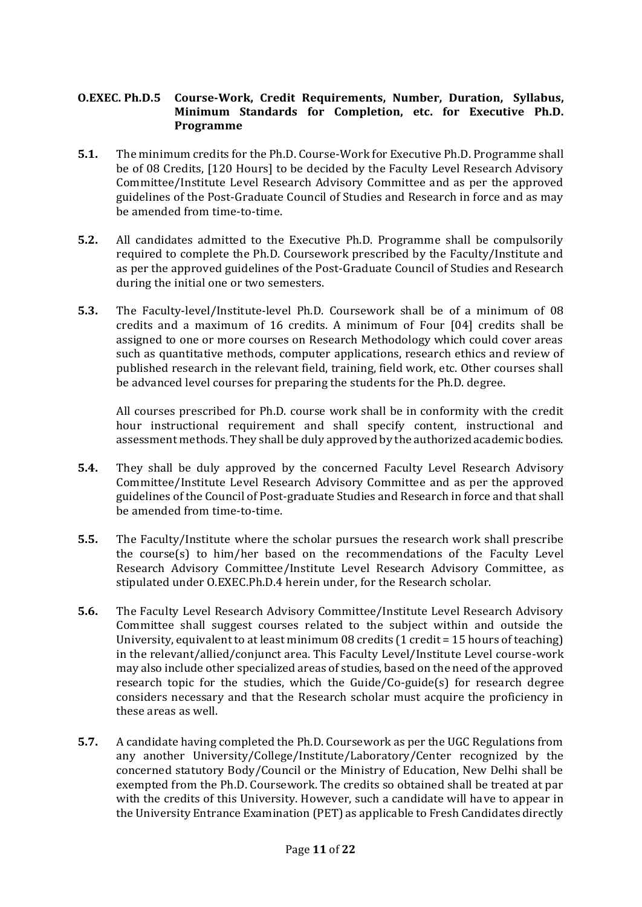### **O.EXEC. Ph.D.5 Course-Work, Credit Requirements, Number, Duration, Syllabus, Minimum Standards for Completion, etc. for Executive Ph.D. Programme**

- **5.1.** The minimum credits for the Ph.D. Course-Work for Executive Ph.D. Programme shall be of 08 Credits, [120 Hours] to be decided by the Faculty Level Research Advisory Committee/Institute Level Research Advisory Committee and as per the approved guidelines of the Post-Graduate Council of Studies and Research in force and as may be amended from time-to-time.
- **5.2.** All candidates admitted to the Executive Ph.D. Programme shall be compulsorily required to complete the Ph.D. Coursework prescribed by the Faculty/Institute and as per the approved guidelines of the Post-Graduate Council of Studies and Research during the initial one or two semesters.
- **5.3.** The Faculty-level/Institute-level Ph.D. Coursework shall be of a minimum of 08 credits and a maximum of 16 credits. A minimum of Four [04] credits shall be assigned to one or more courses on Research Methodology which could cover areas such as quantitative methods, computer applications, research ethics and review of published research in the relevant field, training, field work, etc. Other courses shall be advanced level courses for preparing the students for the Ph.D. degree.

All courses prescribed for Ph.D. course work shall be in conformity with the credit hour instructional requirement and shall specify content, instructional and assessment methods. They shall be duly approved by the authorized academic bodies.

- **5.4.** They shall be duly approved by the concerned Faculty Level Research Advisory Committee/Institute Level Research Advisory Committee and as per the approved guidelines of the Council of Post-graduate Studies and Research in force and that shall be amended from time-to-time.
- **5.5.** The Faculty/Institute where the scholar pursues the research work shall prescribe the course(s) to him/her based on the recommendations of the Faculty Level Research Advisory Committee/Institute Level Research Advisory Committee, as stipulated under O.EXEC.Ph.D.4 herein under, for the Research scholar.
- **5.6.** The Faculty Level Research Advisory Committee/Institute Level Research Advisory Committee shall suggest courses related to the subject within and outside the University, equivalent to at least minimum 08 credits (1 credit = 15 hours of teaching) in the relevant/allied/conjunct area. This Faculty Level/Institute Level course-work may also include other specialized areas of studies, based on the need of the approved research topic for the studies, which the Guide/Co-guide(s) for research degree considers necessary and that the Research scholar must acquire the proficiency in these areas as well.
- **5.7.** A candidate having completed the Ph.D. Coursework as per the UGC Regulations from any another University/College/Institute/Laboratory/Center recognized by the concerned statutory Body/Council or the Ministry of Education, New Delhi shall be exempted from the Ph.D. Coursework. The credits so obtained shall be treated at par with the credits of this University. However, such a candidate will have to appear in the University Entrance Examination (PET) as applicable to Fresh Candidates directly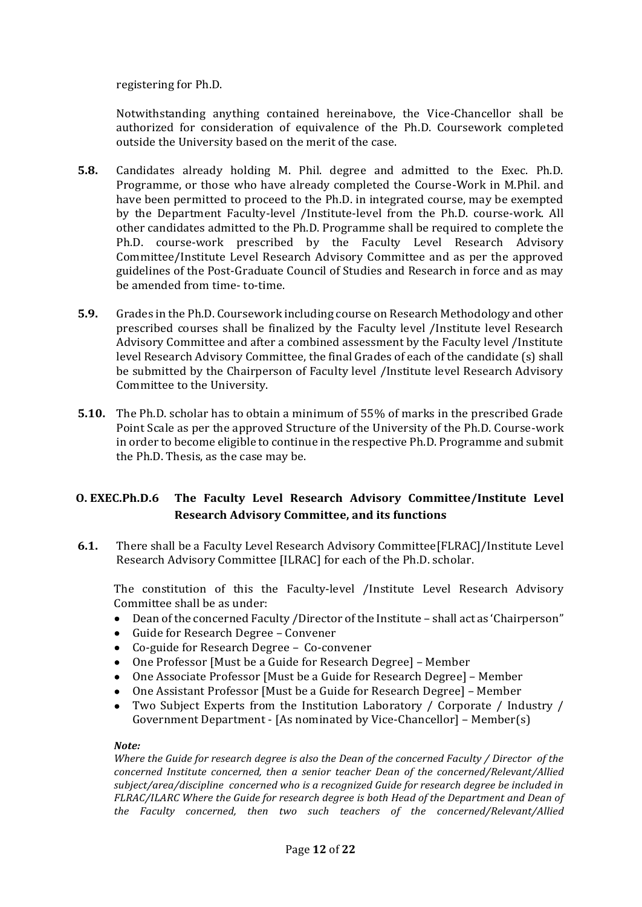registering for Ph.D.

Notwithstanding anything contained hereinabove, the Vice-Chancellor shall be authorized for consideration of equivalence of the Ph.D. Coursework completed outside the University based on the merit of the case.

- **5.8.** Candidates already holding M. Phil. degree and admitted to the Exec. Ph.D. Programme, or those who have already completed the Course-Work in M.Phil. and have been permitted to proceed to the Ph.D. in integrated course, may be exempted by the Department Faculty-level /Institute-level from the Ph.D. course-work. All other candidates admitted to the Ph.D. Programme shall be required to complete the Ph.D. course-work prescribed by the Faculty Level Research Advisory Committee/Institute Level Research Advisory Committee and as per the approved guidelines of the Post-Graduate Council of Studies and Research in force and as may be amended from time- to-time.
- **5.9.** Grades in the Ph.D. Coursework including course on Research Methodology and other prescribed courses shall be finalized by the Faculty level /Institute level Research Advisory Committee and after a combined assessment by the Faculty level /Institute level Research Advisory Committee, the final Grades of each of the candidate (s) shall be submitted by the Chairperson of Faculty level /Institute level Research Advisory Committee to the University.
- **5.10.** The Ph.D. scholar has to obtain a minimum of 55% of marks in the prescribed Grade Point Scale as per the approved Structure of the University of the Ph.D. Course-work in order to become eligible to continue in the respective Ph.D. Programme and submit the Ph.D. Thesis, as the case may be.

## **O. EXEC.Ph.D.6 The Faculty Level Research Advisory Committee/Institute Level Research Advisory Committee, and its functions**

**6.1.** There shall be a Faculty Level Research Advisory Committee[FLRAC]/Institute Level Research Advisory Committee [ILRAC] for each of the Ph.D. scholar.

The constitution of this the Faculty-level /Institute Level Research Advisory Committee shall be as under:

- Dean of the concerned Faculty /Director of the Institute shall act as 'Chairperson"
- Guide for Research Degree Convener
- Co-guide for Research Degree Co-convener
- One Professor [Must be a Guide for Research Degree] Member
- One Associate Professor [Must be a Guide for Research Degree] Member
- One Assistant Professor [Must be a Guide for Research Degree] Member
- Two Subject Experts from the Institution Laboratory / Corporate / Industry / Government Department - [As nominated by Vice-Chancellor] – Member(s)

#### *Note:*

*Where the Guide for research degree is also the Dean of the concerned Faculty / Director of the concerned Institute concerned, then a senior teacher Dean of the concerned/Relevant/Allied subject/area/discipline concerned who is a recognized Guide for research degree be included in FLRAC/ILARC Where the Guide for research degree is both Head of the Department and Dean of the Faculty concerned, then two such teachers of the concerned/Relevant/Allied*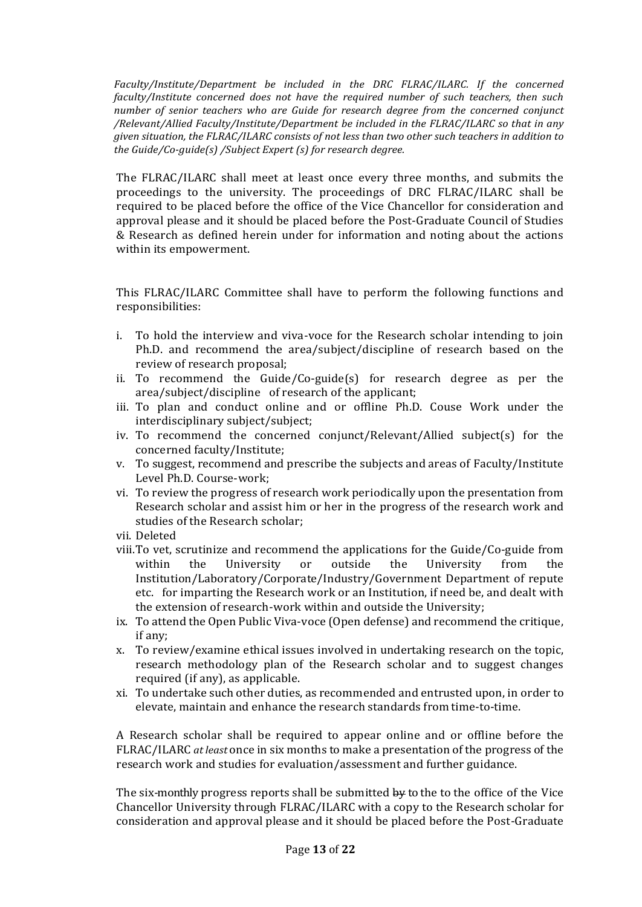*Faculty/Institute/Department be included in the DRC FLRAC/ILARC. If the concerned faculty/Institute concerned does not have the required number of such teachers, then such number of senior teachers who are Guide for research degree from the concerned conjunct /Relevant/Allied Faculty/Institute/Department be included in the FLRAC/ILARC so that in any given situation, the FLRAC/ILARC consists of not less than two other such teachers in addition to the Guide/Co-guide(s) /Subject Expert (s) for research degree.*

The FLRAC/ILARC shall meet at least once every three months, and submits the proceedings to the university. The proceedings of DRC FLRAC/ILARC shall be required to be placed before the office of the Vice Chancellor for consideration and approval please and it should be placed before the Post-Graduate Council of Studies & Research as defined herein under for information and noting about the actions within its empowerment.

This FLRAC/ILARC Committee shall have to perform the following functions and responsibilities:

- i. To hold the interview and viva-voce for the Research scholar intending to join Ph.D. and recommend the area/subject/discipline of research based on the review of research proposal;
- ii. To recommend the Guide/Co-guide(s) for research degree as per the area/subject/discipline of research of the applicant;
- iii. To plan and conduct online and or offline Ph.D. Couse Work under the interdisciplinary subject/subject;
- iv. To recommend the concerned conjunct/Relevant/Allied subject(s) for the concerned faculty/Institute;
- v. To suggest, recommend and prescribe the subjects and areas of Faculty/Institute Level Ph.D. Course-work;
- vi. To review the progress of research work periodically upon the presentation from Research scholar and assist him or her in the progress of the research work and studies of the Research scholar;
- vii. Deleted
- viii.To vet, scrutinize and recommend the applications for the Guide/Co-guide from within the University or outside the University from the Institution/Laboratory/Corporate/Industry/Government Department of repute etc. for imparting the Research work or an Institution, if need be, and dealt with the extension of research-work within and outside the University;
- ix. To attend the Open Public Viva-voce (Open defense) and recommend the critique, if any;
- x. To review/examine ethical issues involved in undertaking research on the topic, research methodology plan of the Research scholar and to suggest changes required (if any), as applicable.
- xi. To undertake such other duties, as recommended and entrusted upon, in order to elevate, maintain and enhance the research standards from time-to-time.

A Research scholar shall be required to appear online and or offline before the FLRAC/ILARC *at least* once in six months to make a presentation of the progress of the research work and studies for evaluation/assessment and further guidance.

The six-monthly progress reports shall be submitted by to the to the office of the Vice Chancellor University through FLRAC/ILARC with a copy to the Research scholar for consideration and approval please and it should be placed before the Post-Graduate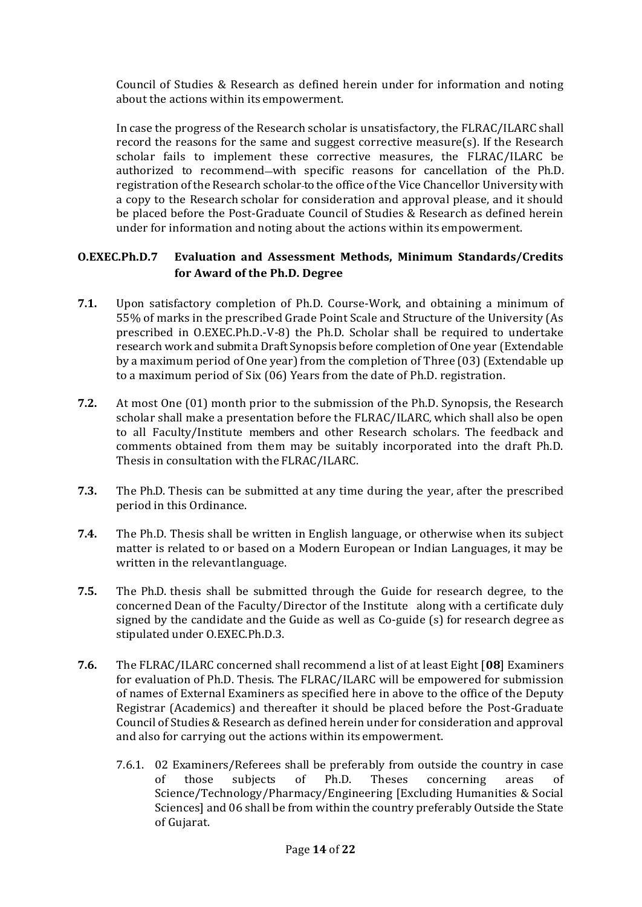Council of Studies & Research as defined herein under for information and noting about the actions within its empowerment.

In case the progress of the Research scholar is unsatisfactory, the FLRAC/ILARC shall record the reasons for the same and suggest corrective measure(s). If the Research scholar fails to implement these corrective measures, the FLRAC/ILARC be authorized to recommend-with specific reasons for cancellation of the Ph.D. registration oftheResearch scholar to the office of the Vice Chancellor University with a copy to the Research scholar for consideration and approval please, and it should be placed before the Post-Graduate Council of Studies & Research as defined herein under for information and noting about the actions within its empowerment.

## **O.EXEC.Ph.D.7 Evaluation and Assessment Methods, Minimum Standards/Credits for Award of the Ph.D. Degree**

- **7.1.** Upon satisfactory completion of Ph.D. Course-Work, and obtaining a minimum of 55% of marks in the prescribed Grade Point Scale and Structure of the University (As prescribed in O.EXEC.Ph.D.-V-8) the Ph.D. Scholar shall be required to undertake research work and submit a Draft Synopsis before completion of One year (Extendable by a maximum period of One year) from the completion of Three (03) (Extendable up to a maximum period of Six (06) Years from the date of Ph.D. registration.
- **7.2.** At most One (01) month prior to the submission of the Ph.D. Synopsis, the Research scholar shall make a presentation before the FLRAC/ILARC*,* which shall also be open to all Faculty/Institute members and other Research scholars. The feedback and comments obtained from them may be suitably incorporated into the draft Ph.D. Thesis in consultation with the FLRAC/ILARC.
- **7.3.** The Ph.D. Thesis can be submitted at any time during the year, after the prescribed period in this Ordinance.
- **7.4.** The Ph.D. Thesis shall be written in English language, or otherwise when its subject matter is related to or based on a Modern European or Indian Languages, it may be written in the relevantlanguage.
- **7.5.** The Ph.D. thesis shall be submitted through the Guide for research degree, to the concerned Dean of the Faculty/Director of the Institute along with a certificate duly signed by the candidate and the Guide as well as Co-guide (s) for research degree as stipulated under O.EXEC.Ph.D.3.
- **7.6.** The FLRAC/ILARC concerned shall recommend a list of at least Eight [**08**] Examiners for evaluation of Ph.D. Thesis. The FLRAC/ILARC will be empowered for submission of names of External Examiners as specified here in above to the office of the Deputy Registrar (Academics) and thereafter it should be placed before the Post-Graduate Council of Studies & Research as defined herein under for consideration and approval and also for carrying out the actions within its empowerment.
	- 7.6.1. 02 Examiners/Referees shall be preferably from outside the country in case of those subjects of Ph.D. Theses concerning areas of Science/Technology/Pharmacy/Engineering [Excluding Humanities & Social Sciences] and 06 shall be from within the country preferably Outside the State of Gujarat.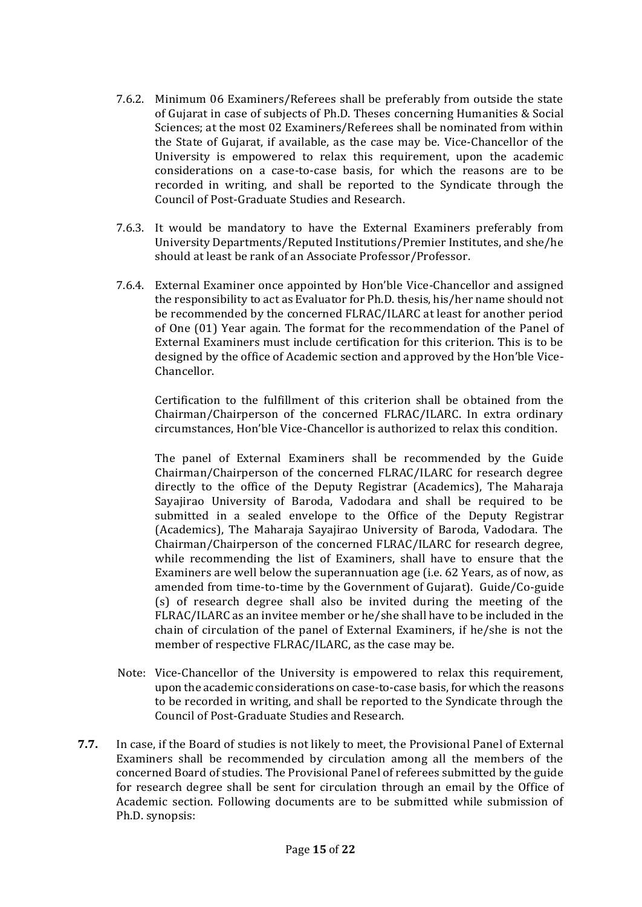- 7.6.2. Minimum 06 Examiners/Referees shall be preferably from outside the state of Gujarat in case of subjects of Ph.D. Theses concerning Humanities & Social Sciences; at the most 02 Examiners/Referees shall be nominated from within the State of Gujarat, if available, as the case may be. Vice-Chancellor of the University is empowered to relax this requirement, upon the academic considerations on a case-to-case basis, for which the reasons are to be recorded in writing, and shall be reported to the Syndicate through the Council of Post-Graduate Studies and Research.
- 7.6.3. It would be mandatory to have the External Examiners preferably from University Departments/Reputed Institutions/Premier Institutes, and she/he should at least be rank of an Associate Professor/Professor.
- 7.6.4. External Examiner once appointed by Hon'ble Vice-Chancellor and assigned the responsibility to act as Evaluator for Ph.D. thesis, his/her name should not be recommended by the concerned FLRAC/ILARC at least for another period of One (01) Year again. The format for the recommendation of the Panel of External Examiners must include certification for this criterion. This is to be designed by the office of Academic section and approved by the Hon'ble Vice-Chancellor.

Certification to the fulfillment of this criterion shall be obtained from the Chairman/Chairperson of the concerned FLRAC/ILARC. In extra ordinary circumstances, Hon'ble Vice-Chancellor is authorized to relax this condition.

The panel of External Examiners shall be recommended by the Guide Chairman/Chairperson of the concerned FLRAC/ILARC for research degree directly to the office of the Deputy Registrar (Academics), The Maharaja Sayajirao University of Baroda, Vadodara and shall be required to be submitted in a sealed envelope to the Office of the Deputy Registrar (Academics), The Maharaja Sayajirao University of Baroda, Vadodara. The Chairman/Chairperson of the concerned FLRAC/ILARC for research degree, while recommending the list of Examiners, shall have to ensure that the Examiners are well below the superannuation age (i.e. 62 Years, as of now, as amended from time-to-time by the Government of Gujarat). Guide/Co-guide (s) of research degree shall also be invited during the meeting of the FLRAC/ILARC as an invitee member or he/she shall have to be included in the chain of circulation of the panel of External Examiners, if he/she is not the member of respective FLRAC/ILARC, as the case may be.

- Note: Vice-Chancellor of the University is empowered to relax this requirement, upon the academic considerations on case-to-case basis, for which the reasons to be recorded in writing, and shall be reported to the Syndicate through the Council of Post-Graduate Studies and Research.
- **7.7.** In case, if the Board of studies is not likely to meet, the Provisional Panel of External Examiners shall be recommended by circulation among all the members of the concerned Board of studies. The Provisional Panel of referees submitted by the guide for research degree shall be sent for circulation through an email by the Office of Academic section. Following documents are to be submitted while submission of Ph.D. synopsis: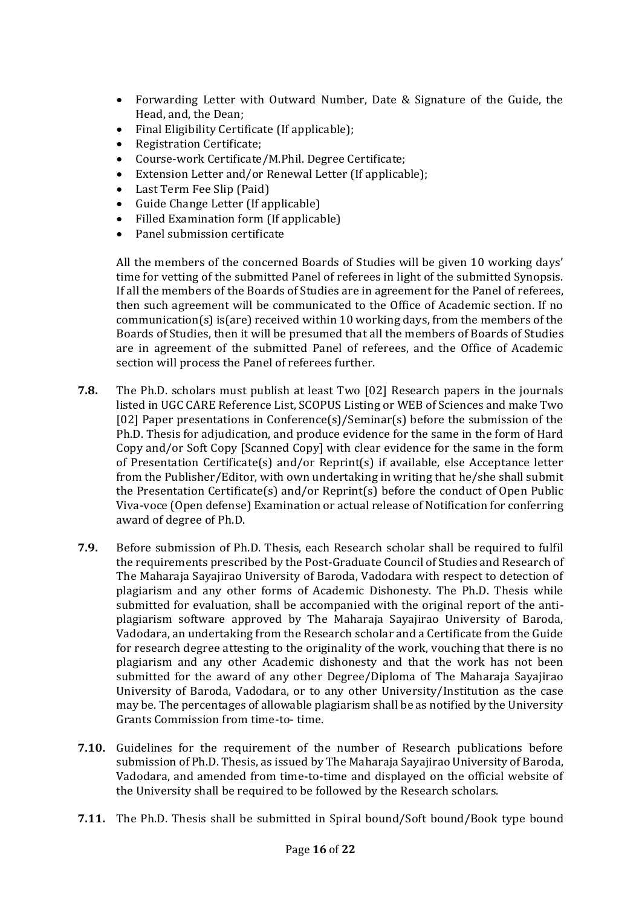- Forwarding Letter with Outward Number, Date & Signature of the Guide, the Head, and, the Dean;
- Final Eligibility Certificate (If applicable);
- Registration Certificate;
- Course-work Certificate/M.Phil. Degree Certificate;
- Extension Letter and/or Renewal Letter (If applicable);
- Last Term Fee Slip (Paid)
- Guide Change Letter (If applicable)
- Filled Examination form (If applicable)
- Panel submission certificate

All the members of the concerned Boards of Studies will be given 10 working days' time for vetting of the submitted Panel of referees in light of the submitted Synopsis. If all the members of the Boards of Studies are in agreement for the Panel of referees, then such agreement will be communicated to the Office of Academic section. If no communication(s) is(are) received within 10 working days, from the members of the Boards of Studies, then it will be presumed that all the members of Boards of Studies are in agreement of the submitted Panel of referees, and the Office of Academic section will process the Panel of referees further.

- **7.8.** The Ph.D. scholars must publish at least Two [02] Research papers in the journals listed in UGC CARE Reference List, SCOPUS Listing or WEB of Sciences and make Two [02] Paper presentations in Conference(s)/Seminar(s) before the submission of the Ph.D. Thesis for adjudication, and produce evidence for the same in the form of Hard Copy and/or Soft Copy [Scanned Copy] with clear evidence for the same in the form of Presentation Certificate(s) and/or Reprint(s) if available, else Acceptance letter from the Publisher/Editor, with own undertaking in writing that he/she shall submit the Presentation Certificate(s) and/or Reprint(s) before the conduct of Open Public Viva-voce (Open defense) Examination or actual release of Notification for conferring award of degree of Ph.D.
- **7.9.** Before submission of Ph.D. Thesis, each Research scholar shall be required to fulfil the requirements prescribed by the Post-Graduate Council of Studies and Research of The Maharaja Sayajirao University of Baroda, Vadodara with respect to detection of plagiarism and any other forms of Academic Dishonesty. The Ph.D. Thesis while submitted for evaluation, shall be accompanied with the original report of the antiplagiarism software approved by The Maharaja Sayajirao University of Baroda, Vadodara, an undertaking from the Research scholar and a Certificate from the Guide for research degree attesting to the originality of the work, vouching that there is no plagiarism and any other Academic dishonesty and that the work has not been submitted for the award of any other Degree/Diploma of The Maharaja Sayajirao University of Baroda, Vadodara, or to any other University/Institution as the case may be. The percentages of allowable plagiarism shall be as notified by the University Grants Commission from time-to- time.
- **7.10.** Guidelines for the requirement of the number of Research publications before submission of Ph.D. Thesis, as issued by The Maharaja Sayajirao University of Baroda, Vadodara, and amended from time-to-time and displayed on the official website of the University shall be required to be followed by the Research scholars.
- **7.11.** The Ph.D. Thesis shall be submitted in Spiral bound/Soft bound/Book type bound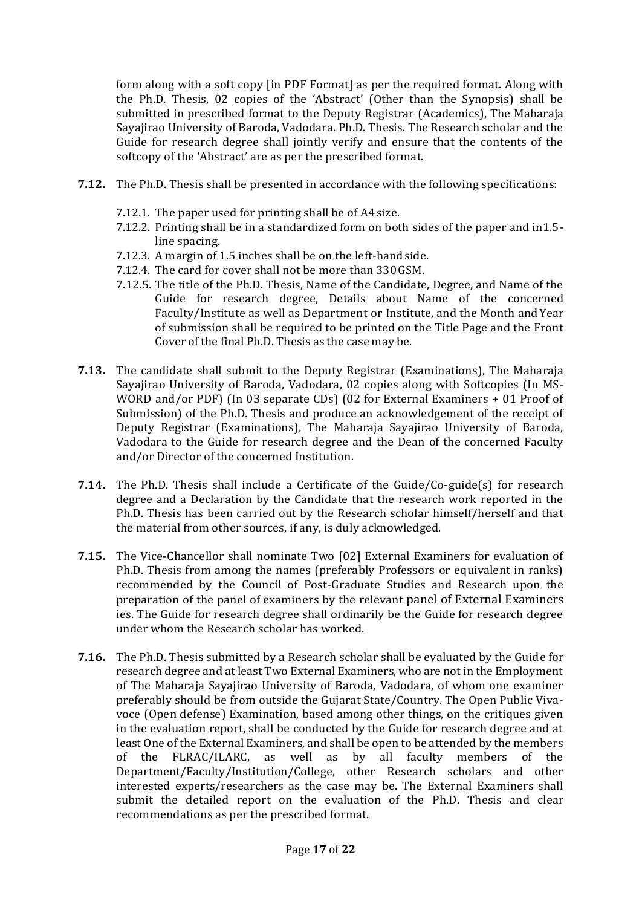form along with a soft copy [in PDF Format] as per the required format. Along with the Ph.D. Thesis, 02 copies of the 'Abstract' (Other than the Synopsis) shall be submitted in prescribed format to the Deputy Registrar (Academics), The Maharaja Sayajirao University of Baroda, Vadodara. Ph.D. Thesis. The Research scholar and the Guide for research degree shall jointly verify and ensure that the contents of the softcopy of the 'Abstract' are as per the prescribed format.

- **7.12.** The Ph.D. Thesis shall be presented in accordance with the following specifications:
	- 7.12.1. The paper used for printing shall be of A4size.
	- 7.12.2. Printing shall be in a standardized form on both sides of the paper and in1.5 line spacing.
	- 7.12.3. A margin of 1.5 inches shall be on the left-handside.
	- 7.12.4. The card for cover shall not be more than 330GSM.
	- 7.12.5. The title of the Ph.D. Thesis, Name of the Candidate, Degree, and Name of the Guide for research degree, Details about Name of the concerned Faculty/Institute as well as Department or Institute, and the Month andYear of submission shall be required to be printed on the Title Page and the Front Cover of the final Ph.D. Thesis as the case may be.
- **7.13.** The candidate shall submit to the Deputy Registrar (Examinations), The Maharaja Sayajirao University of Baroda, Vadodara, 02 copies along with Softcopies (In MS-WORD and/or PDF) (In 03 separate CDs) (02 for External Examiners + 01 Proof of Submission) of the Ph.D. Thesis and produce an acknowledgement of the receipt of Deputy Registrar (Examinations), The Maharaja Sayajirao University of Baroda, Vadodara to the Guide for research degree and the Dean of the concerned Faculty and/or Director of the concerned Institution.
- **7.14.** The Ph.D. Thesis shall include a Certificate of the Guide/Co-guide(s) for research degree and a Declaration by the Candidate that the research work reported in the Ph.D. Thesis has been carried out by the Research scholar himself/herself and that the material from other sources, if any, is duly acknowledged.
- **7.15.** The Vice-Chancellor shall nominate Two [02] External Examiners for evaluation of Ph.D. Thesis from among the names (preferably Professors or equivalent in ranks) recommended by the Council of Post-Graduate Studies and Research upon the preparation of the panel of examiners by the relevant panel of External Examiners ies. The Guide for research degree shall ordinarily be the Guide for research degree under whom the Research scholar has worked.
- **7.16.** The Ph.D. Thesis submitted by a Research scholar shall be evaluated by the Guide for research degree and at least Two External Examiners, who are not in the Employment of The Maharaja Sayajirao University of Baroda, Vadodara, of whom one examiner preferably should be from outside the Gujarat State/Country. The Open Public Vivavoce (Open defense) Examination, based among other things, on the critiques given in the evaluation report, shall be conducted by the Guide for research degree and at least One of the External Examiners, and shall be open to be attended by the members of the FLRAC/ILARC, as well as by all faculty members of the Department/Faculty/Institution/College, other Research scholars and other interested experts/researchers as the case may be. The External Examiners shall submit the detailed report on the evaluation of the Ph.D. Thesis and clear recommendations as per the prescribed format.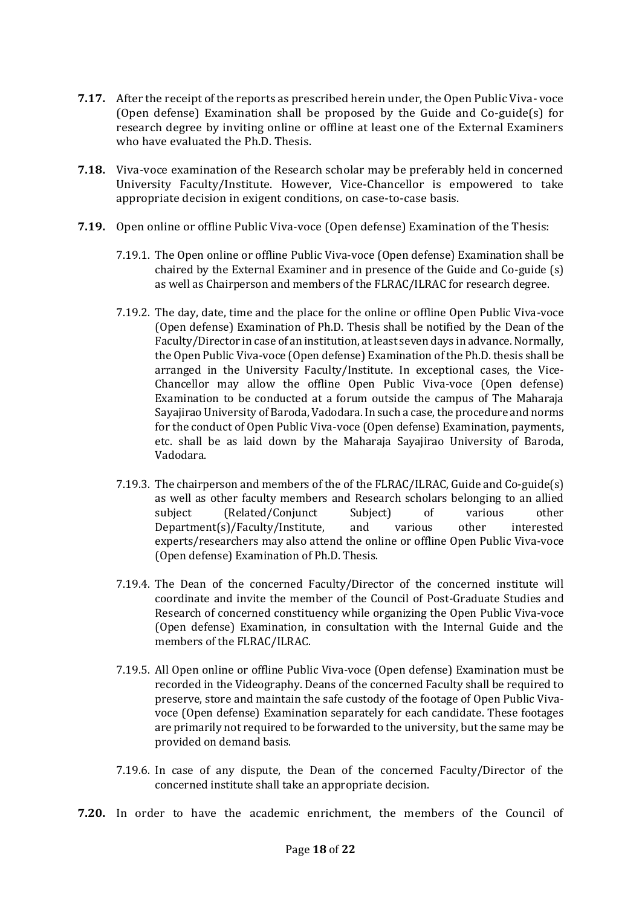- **7.17.** After the receipt of the reports as prescribed herein under, the Open Public Viva- voce (Open defense) Examination shall be proposed by the Guide and Co-guide(s) for research degree by inviting online or offline at least one of the External Examiners who have evaluated the Ph.D. Thesis.
- **7.18.** Viva-voce examination of the Research scholar may be preferably held in concerned University Faculty/Institute. However, Vice-Chancellor is empowered to take appropriate decision in exigent conditions, on case-to-case basis.
- **7.19.** Open online or offline Public Viva-voce (Open defense) Examination of the Thesis:
	- 7.19.1. The Open online or offline Public Viva-voce (Open defense) Examination shall be chaired by the External Examiner and in presence of the Guide and Co-guide (s) as well as Chairperson and members of the FLRAC/ILRAC for research degree.
	- 7.19.2. The day, date, time and the place for the online or offline Open Public Viva-voce (Open defense) Examination of Ph.D. Thesis shall be notified by the Dean of the Faculty/Director in case of an institution, at least seven days in advance. Normally, the Open Public Viva-voce (Open defense) Examination of the Ph.D. thesis shall be arranged in the University Faculty/Institute. In exceptional cases, the Vice-Chancellor may allow the offline Open Public Viva-voce (Open defense) Examination to be conducted at a forum outside the campus of The Maharaja Sayajirao University of Baroda, Vadodara. In such a case, the procedure and norms for the conduct of Open Public Viva-voce (Open defense) Examination, payments, etc. shall be as laid down by the Maharaja Sayajirao University of Baroda, Vadodara.
	- 7.19.3. The chairperson and members of the of the FLRAC/ILRAC, Guide and Co-guide(s) as well as other faculty members and Research scholars belonging to an allied subject (Related/Conjunct Subject) of various other Department(s)/Faculty/Institute, and various other interested experts/researchers may also attend the online or offline Open Public Viva-voce (Open defense) Examination of Ph.D. Thesis.
	- 7.19.4. The Dean of the concerned Faculty/Director of the concerned institute will coordinate and invite the member of the Council of Post-Graduate Studies and Research of concerned constituency while organizing the Open Public Viva-voce (Open defense) Examination, in consultation with the Internal Guide and the members of the FLRAC/ILRAC.
	- 7.19.5. All Open online or offline Public Viva-voce (Open defense) Examination must be recorded in the Videography. Deans of the concerned Faculty shall be required to preserve, store and maintain the safe custody of the footage of Open Public Vivavoce (Open defense) Examination separately for each candidate. These footages are primarily not required to be forwarded to the university, but the same may be provided on demand basis.
	- 7.19.6. In case of any dispute, the Dean of the concerned Faculty/Director of the concerned institute shall take an appropriate decision.
- **7.20.** In order to have the academic enrichment, the members of the Council of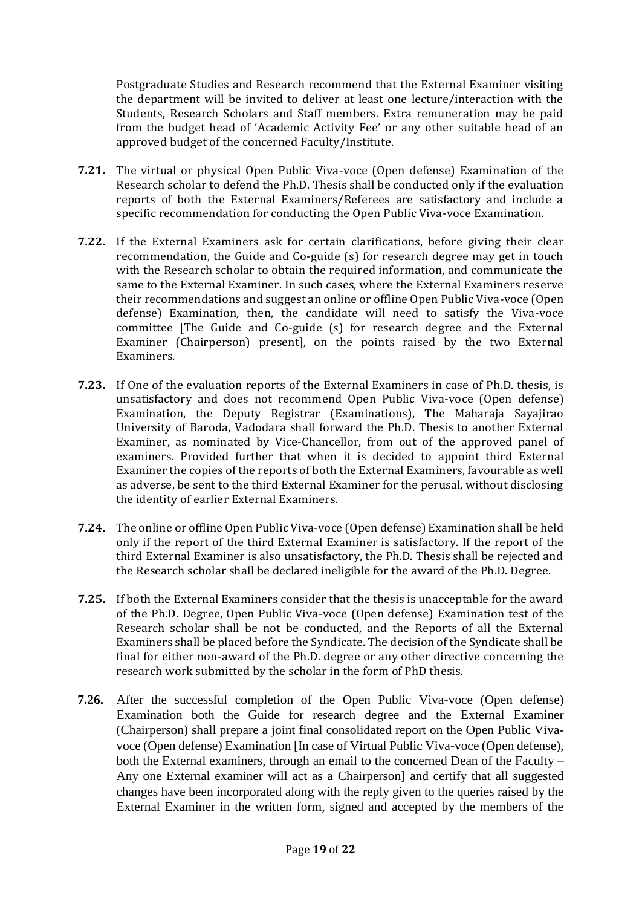Postgraduate Studies and Research recommend that the External Examiner visiting the department will be invited to deliver at least one lecture/interaction with the Students, Research Scholars and Staff members. Extra remuneration may be paid from the budget head of 'Academic Activity Fee' or any other suitable head of an approved budget of the concerned Faculty/Institute.

- **7.21.** The virtual or physical Open Public Viva-voce (Open defense) Examination of the Research scholar to defend the Ph.D. Thesis shall be conducted only if the evaluation reports of both the External Examiners/Referees are satisfactory and include a specific recommendation for conducting the Open Public Viva-voce Examination.
- **7.22.** If the External Examiners ask for certain clarifications, before giving their clear recommendation, the Guide and Co-guide (s) for research degree may get in touch with the Research scholar to obtain the required information, and communicate the same to the External Examiner. In such cases, where the External Examiners reserve their recommendations and suggest an online or offline Open Public Viva-voce (Open defense) Examination, then, the candidate will need to satisfy the Viva-voce committee [The Guide and Co-guide (s) for research degree and the External Examiner (Chairperson) present], on the points raised by the two External Examiners.
- **7.23.** If One of the evaluation reports of the External Examiners in case of Ph.D. thesis, is unsatisfactory and does not recommend Open Public Viva-voce (Open defense) Examination, the Deputy Registrar (Examinations), The Maharaja Sayajirao University of Baroda, Vadodara shall forward the Ph.D. Thesis to another External Examiner, as nominated by Vice-Chancellor, from out of the approved panel of examiners. Provided further that when it is decided to appoint third External Examiner the copies of the reports of both the External Examiners, favourable as well as adverse, be sent to the third External Examiner for the perusal, without disclosing the identity of earlier External Examiners.
- **7.24.** The online or offline Open Public Viva-voce (Open defense) Examination shall be held only if the report of the third External Examiner is satisfactory. If the report of the third External Examiner is also unsatisfactory, the Ph.D. Thesis shall be rejected and the Research scholar shall be declared ineligible for the award of the Ph.D. Degree.
- **7.25.** If both the External Examiners consider that the thesis is unacceptable for the award of the Ph.D. Degree, Open Public Viva-voce (Open defense) Examination test of the Research scholar shall be not be conducted, and the Reports of all the External Examiners shall be placed before the Syndicate. The decision of the Syndicate shall be final for either non-award of the Ph.D. degree or any other directive concerning the research work submitted by the scholar in the form of PhD thesis.
- **7.26.** After the successful completion of the Open Public Viva-voce (Open defense) Examination both the Guide for research degree and the External Examiner (Chairperson) shall prepare a joint final consolidated report on the Open Public Vivavoce (Open defense) Examination [In case of Virtual Public Viva-voce (Open defense), both the External examiners, through an email to the concerned Dean of the Faculty – Any one External examiner will act as a Chairperson] and certify that all suggested changes have been incorporated along with the reply given to the queries raised by the External Examiner in the written form, signed and accepted by the members of the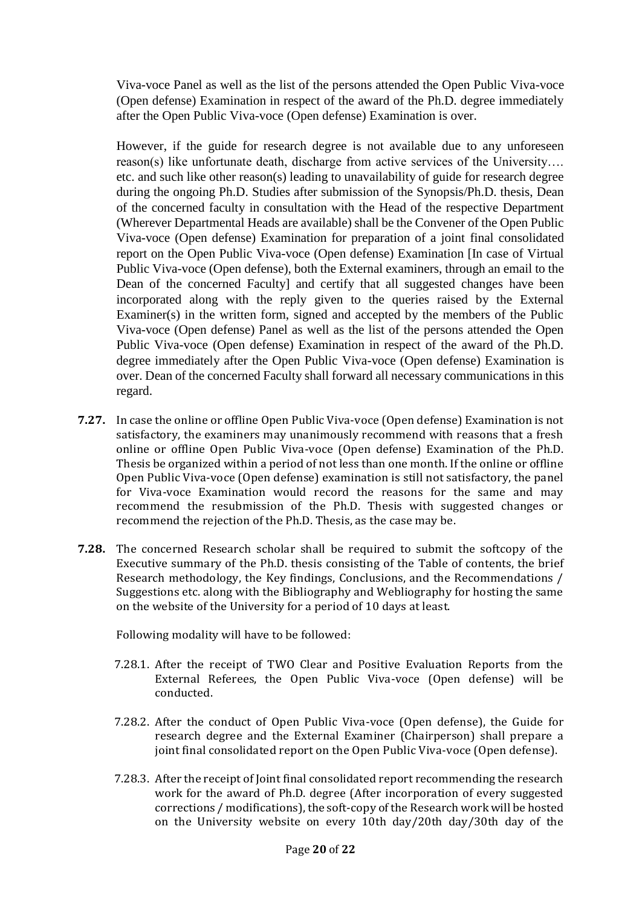Viva-voce Panel as well as the list of the persons attended the Open Public Viva-voce (Open defense) Examination in respect of the award of the Ph.D. degree immediately after the Open Public Viva-voce (Open defense) Examination is over.

However, if the guide for research degree is not available due to any unforeseen reason(s) like unfortunate death, discharge from active services of the University…. etc. and such like other reason(s) leading to unavailability of guide for research degree during the ongoing Ph.D. Studies after submission of the Synopsis/Ph.D. thesis, Dean of the concerned faculty in consultation with the Head of the respective Department (Wherever Departmental Heads are available) shall be the Convener of the Open Public Viva-voce (Open defense) Examination for preparation of a joint final consolidated report on the Open Public Viva-voce (Open defense) Examination [In case of Virtual Public Viva-voce (Open defense), both the External examiners, through an email to the Dean of the concerned Faculty] and certify that all suggested changes have been incorporated along with the reply given to the queries raised by the External Examiner(s) in the written form, signed and accepted by the members of the Public Viva-voce (Open defense) Panel as well as the list of the persons attended the Open Public Viva-voce (Open defense) Examination in respect of the award of the Ph.D. degree immediately after the Open Public Viva-voce (Open defense) Examination is over. Dean of the concerned Faculty shall forward all necessary communications in this regard.

- **7.27.** In case the online or offline Open Public Viva-voce (Open defense) Examination is not satisfactory, the examiners may unanimously recommend with reasons that a fresh online or offline Open Public Viva-voce (Open defense) Examination of the Ph.D. Thesis be organized within a period of not less than one month. If the online or offline Open Public Viva-voce (Open defense) examination is still not satisfactory, the panel for Viva-voce Examination would record the reasons for the same and may recommend the resubmission of the Ph.D. Thesis with suggested changes or recommend the rejection of the Ph.D. Thesis, as the case may be.
- **7.28.** The concerned Research scholar shall be required to submit the softcopy of the Executive summary of the Ph.D. thesis consisting of the Table of contents, the brief Research methodology, the Key findings, Conclusions, and the Recommendations / Suggestions etc. along with the Bibliography and Webliography for hosting the same on the website of the University for a period of 10 days at least.

Following modality will have to be followed:

- 7.28.1. After the receipt of TWO Clear and Positive Evaluation Reports from the External Referees, the Open Public Viva-voce (Open defense) will be conducted.
- 7.28.2. After the conduct of Open Public Viva-voce (Open defense), the Guide for research degree and the External Examiner (Chairperson) shall prepare a joint final consolidated report on the Open Public Viva-voce (Open defense).
- 7.28.3. After the receipt of Joint final consolidated report recommending the research work for the award of Ph.D. degree (After incorporation of every suggested corrections / modifications), the soft-copy of the Research work will be hosted on the University website on every 10th day/20th day/30th day of the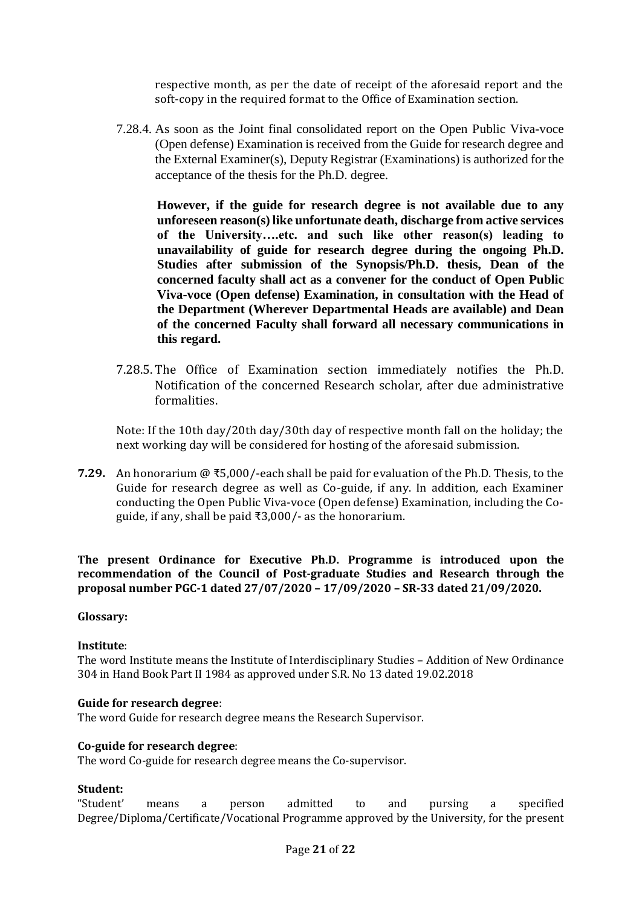respective month, as per the date of receipt of the aforesaid report and the soft-copy in the required format to the Office of Examination section.

7.28.4. As soon as the Joint final consolidated report on the Open Public Viva-voce (Open defense) Examination is received from the Guide for research degree and the External Examiner(s), Deputy Registrar (Examinations) is authorized for the acceptance of the thesis for the Ph.D. degree.

**However, if the guide for research degree is not available due to any unforeseen reason(s) like unfortunate death, discharge from active services of the University….etc. and such like other reason(s) leading to unavailability of guide for research degree during the ongoing Ph.D. Studies after submission of the Synopsis/Ph.D. thesis, Dean of the concerned faculty shall act as a convener for the conduct of Open Public Viva-voce (Open defense) Examination, in consultation with the Head of the Department (Wherever Departmental Heads are available) and Dean of the concerned Faculty shall forward all necessary communications in this regard.**

7.28.5. The Office of Examination section immediately notifies the Ph.D. Notification of the concerned Research scholar, after due administrative formalities.

Note: If the 10th day/20th day/30th day of respective month fall on the holiday; the next working day will be considered for hosting of the aforesaid submission.

**7.29.** An honorarium @ ₹5,000/-each shall be paid for evaluation of the Ph.D. Thesis, to the Guide for research degree as well as Co-guide, if any. In addition, each Examiner conducting the Open Public Viva-voce (Open defense) Examination, including the Coguide, if any, shall be paid ₹3,000/- as the honorarium.

**The present Ordinance for Executive Ph.D. Programme is introduced upon the recommendation of the Council of Post-graduate Studies and Research through the proposal number PGC-1 dated 27/07/2020 – 17/09/2020 – SR-33 dated 21/09/2020.**

#### **Glossary:**

#### **Institute**:

The word Institute means the Institute of Interdisciplinary Studies – Addition of New Ordinance 304 in Hand Book Part II 1984 as approved under S.R. No 13 dated 19.02.2018

### **Guide for research degree**:

The word Guide for research degree means the Research Supervisor.

#### **Co-guide for research degree**:

The word Co-guide for research degree means the Co-supervisor.

#### **Student:**

"Student' means a person admitted to and pursing a specified Degree/Diploma/Certificate/Vocational Programme approved by the University, for the present